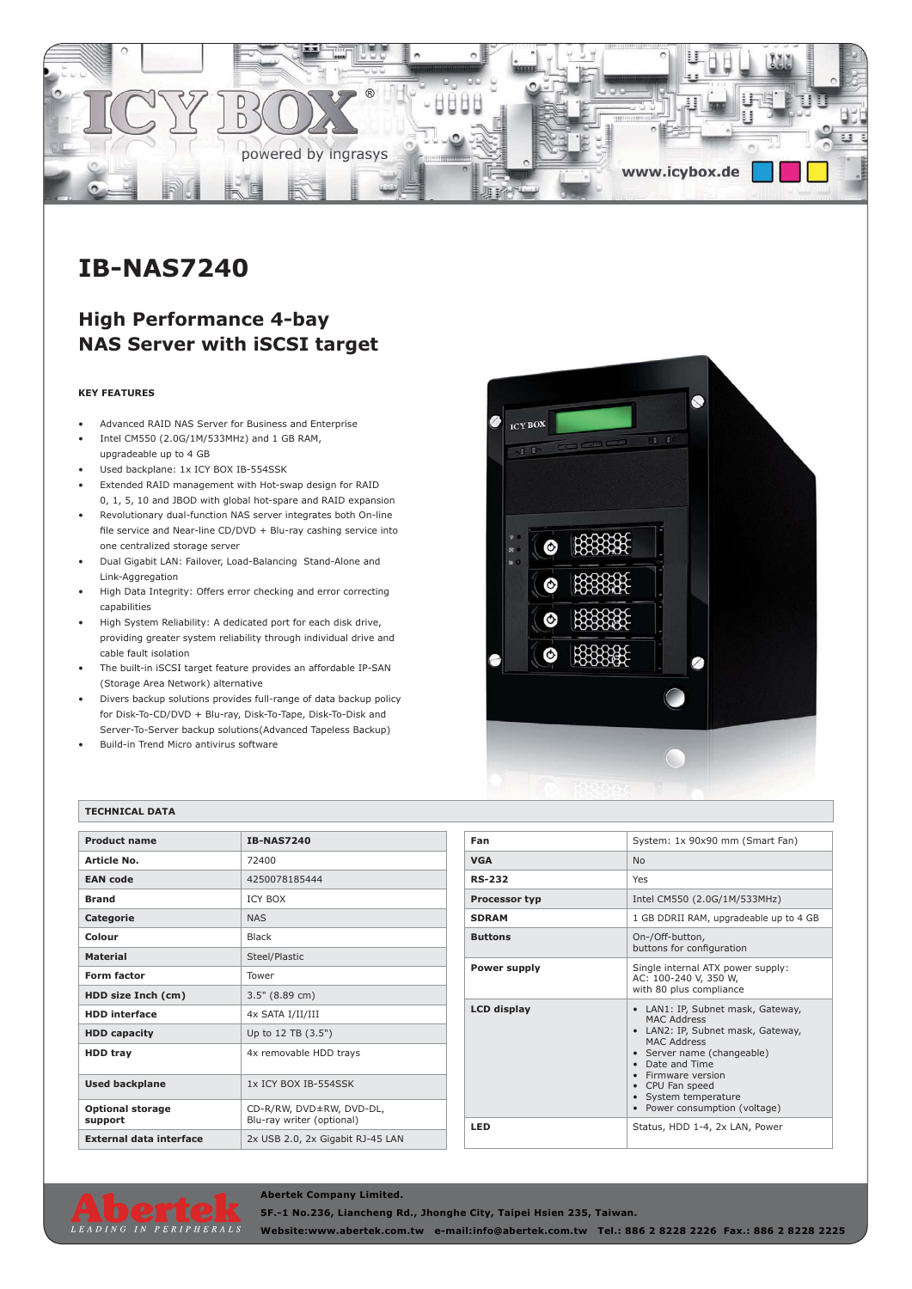

# **IB-NAS7240**

## **High Performance 4-bay NAS Server with iSCSI target**

#### **KEY FEATURES**

- Advanced RAID NAS Server for Business and Enterprise
- Intel CM550 (2.0G/1M/533MHz) and 1 GB RAM, upgradeable up to 4 GB
- Used backplane: 1x ICY BOX IB-554SSK
- Extended RAID management with Hot-swap design for RAID 0, 1, 5, 10 and JBOD with global hot-spare and RAID expansion
- Revolutionary dual-function NAS server integrates both On-line file service and Near-line CD/DVD + Blu-ray cashing service into one centralized storage server
- Dual Gigabit LAN: Failover, Load-Balancing Stand-Alone and Link-Aggregation
- High Data Integrity: Offers error checking and error correcting capabilities
- High System Reliability: A dedicated port for each disk drive, providing greater system reliability through individual drive and cable fault isolation
- The built-in iSCSI target feature provides an affordable IP-SAN (Storage Area Network) alternative
- Divers backup solutions provides full-range of data backup policy for Disk-To-CD/DVD + Blu-ray, Disk-To-Tape, Disk-To-Disk and Server-To-Server backup solutions(Advanced Tapeless Backup)
- Build-in Trend Micro antivirus software



#### **TECHNICAL DATA**

| <b>Product name</b>                | <b>IB-NAS7240</b>                                     |
|------------------------------------|-------------------------------------------------------|
| Article No.                        | 72400                                                 |
| <b>EAN</b> code                    | 4250078185444                                         |
| <b>Brand</b>                       | <b>ICY BOX</b>                                        |
| <b>Categorie</b>                   | <b>NAS</b>                                            |
| Colour                             | <b>Black</b>                                          |
| <b>Material</b>                    | Steel/Plastic                                         |
| <b>Form factor</b>                 | Tower                                                 |
| HDD size Inch (cm)                 | $3.5"$ (8.89 cm)                                      |
| <b>HDD</b> interface               | 4x SATA I/II/III                                      |
| <b>HDD capacity</b>                | Up to 12 TB (3.5")                                    |
| <b>HDD tray</b>                    | 4x removable HDD trays                                |
| <b>Used backplane</b>              | 1x ICY BOX IB-554SSK                                  |
| <b>Optional storage</b><br>support | CD-R/RW, DVD±RW, DVD-DL,<br>Blu-ray writer (optional) |
| <b>External data interface</b>     | 2x USB 2.0, 2x Gigabit RJ-45 LAN                      |

| Fan                  | System: 1x 90x90 mm (Smart Fan)                                                                                                                                                                                                                                    |
|----------------------|--------------------------------------------------------------------------------------------------------------------------------------------------------------------------------------------------------------------------------------------------------------------|
| <b>VGA</b>           | N <sub>o</sub>                                                                                                                                                                                                                                                     |
| <b>RS-232</b>        | Yes                                                                                                                                                                                                                                                                |
| <b>Processor typ</b> | Intel CM550 (2.0G/1M/533MHz)                                                                                                                                                                                                                                       |
| <b>SDRAM</b>         | 1 GB DDRII RAM, upgradeable up to 4 GB                                                                                                                                                                                                                             |
| <b>Buttons</b>       | On-/Off-button,<br>buttons for configuration                                                                                                                                                                                                                       |
| <b>Power supply</b>  | Single internal ATX power supply:<br>AC: 100-240 V, 350 W,<br>with 80 plus compliance                                                                                                                                                                              |
| <b>LCD</b> display   | • LAN1: IP, Subnet mask, Gateway,<br>MAC Address<br>• LAN2: IP, Subnet mask, Gateway,<br>MAC Address<br>• Server name (changeable)<br>• Date and Time<br>• Firmware version<br>• CPU Fan speed<br>• System temperature<br>Power consumption (voltage)<br>$\bullet$ |
| LED                  | Status, HDD 1-4, 2x LAN, Power                                                                                                                                                                                                                                     |



### **Abertek Company Limited.**

**5F.-1 No.236, Liancheng Rd., Jhonghe City, Taipei Hsien 235, Taiwan.**

**Website:www.abertek.com.tw e-mail:info@abertek.com.tw Tel.: 886 2 8228 2226 Fax.: 886 2 8228 2225**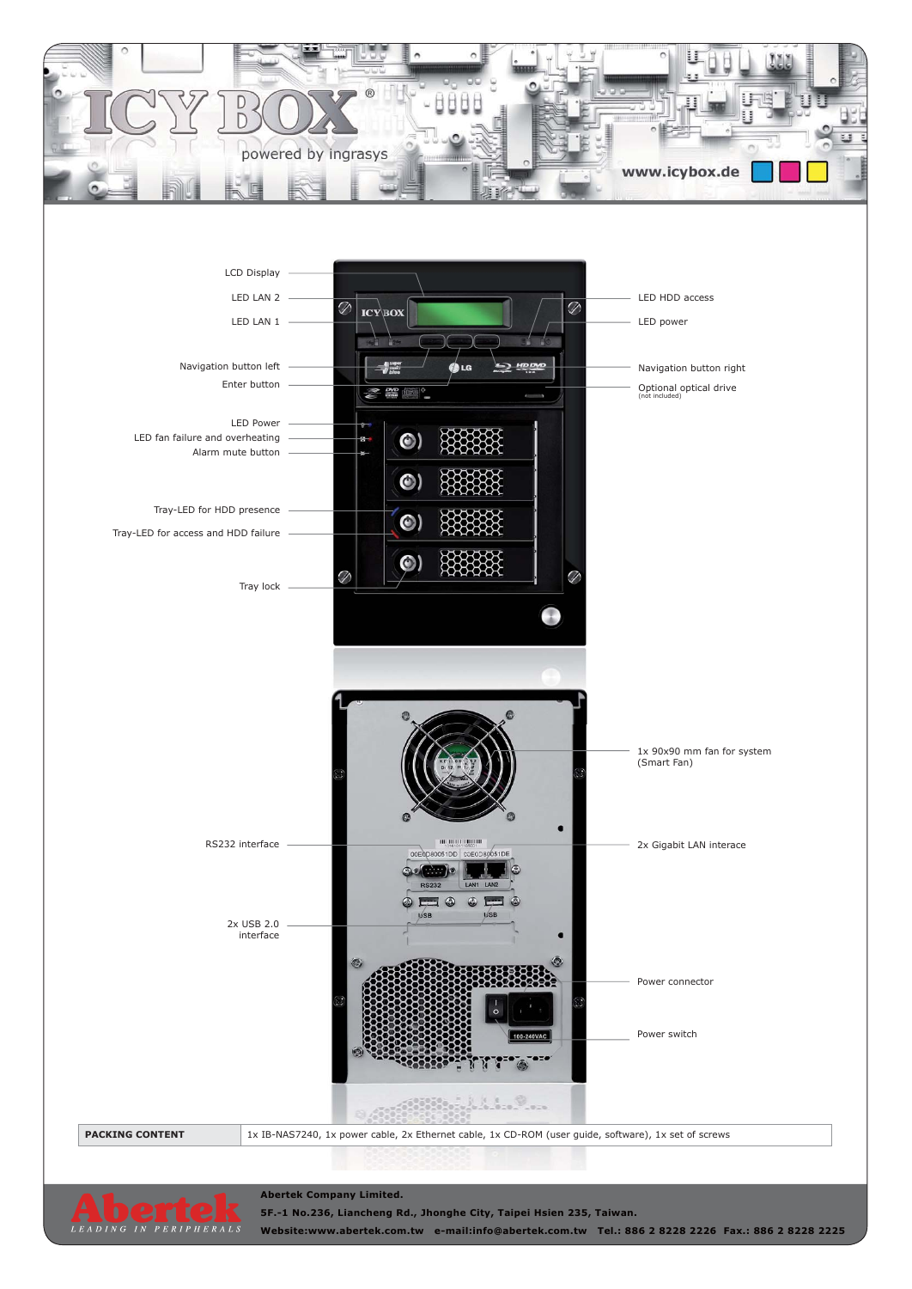